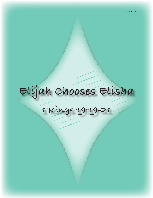# **Elijah Chooses Elisha**

# **1 Kings 19:19-21**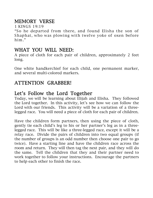# MEMORY VERSE

1 KINGS 19:19

"So he departed from there, and found Elisha the son of Shaphat, who was plowing with twelve yoke of oxen before him."

### WHAT YOU WILL NEED:

A piece of cloth for each pair of children, approximately 2 feet long.

One white handkerchief for each child, one permanent marker, and several multi-colored markers.

# ATTENTION GRABBER!

## Let's Follow the Lord Together

Today, we will be learning about Elijah and Elisha. They followed the Lord together. In this activity, let's see how we can follow the Lord with our friends. This activity will be a variation of a threelegged race. You will need a piece of cloth for each pair of children.

Have the children form partners, then using the piece of cloth, gently tie each child's leg to his or her partner's leg as in a threelegged race. This will be like a three-legged race, except it will be a relay race. Divide the pairs of children into two equal groups (if the number of groups is an odd number then choose one pair to go twice). Have a starting line and have the children race across the room and return. They will then tag the next pair, and they will do the same. Tell the children that they and their partner need to work together to follow your instructions. Encourage the partners to help each other to finish the race.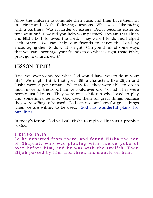Allow the children to complete their race, and then have them sit in a circle and ask the following questions. What was it like racing with a partner? Was it harder or easier? Did it become easier as time went on? How did you help your partner? Explain that Elijah and Elisha both followed the Lord. They were friends and helped each other. We can help our friends to serve the Lord by encouraging them to do what is right. Can you think of some ways that you can encourage your friends to do what is right (read Bible, pray, go to church, etc.)?

# LESSON TIME!

Have you ever wondered what God would have you to do in your life? We might think that great Bible characters like Elijah and Elisha were super-human. We may feel they were able to do so much more for the Lord than we could ever do. Not so! They were people just like us. They were once children who loved to play and, sometimes, be silly. God used them for great things because they were willing to be used. God can use our lives for great things when we are willing to be used. God has wonderful plans for our lives.

In today's lesson, God will call Elisha to replace Elijah as a prophet of God.

#### 1 KINGS 19:19

So he departed from there, and found Elisha the son of Shaphat, who was plowing with twelve yoke of oxen before him, and he was with the twelfth. Then Elijah passed by him and threw his mantle on him.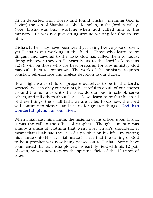Elijah departed from Horeb and found Elisha, (meaning God is Savior) the son of Shaphat at Abel-Meholah, in the Jordan Valley. Note, Elisha was busy working when God called him to the ministry. He was not just sitting around waiting for God to use him.

Elisha's father may have been wealthy, having twelve yoke of oxen, yet Elisha is out working in the field. Those who learn to be diligent and devoted to the tasks God has called them to today, doing whatever they do "…heartily, as to the Lord" (Colossians 3:23), will be those who are best prepared for any ministry God may call them to tomorrow. The work of the ministry requires constant self-sacrifice and tireless devotion to our duties.

How might we as children prepare ourselves to be in the Lord's service? We can obey our parents, be careful to do all of our chores around the home as unto the Lord, do our best in school, serve others, and tell others about Jesus. As we learn to be faithful in all of these things, the small tasks we are called to do now, the Lord will continue to bless us and use us for greater things. God has wonderful plans for our lives.

When Elijah cast his mantle, the insignia of his office, upon Elisha, it was the call to the office of prophet. Though a mantle was simply a piece of clothing that went over Elijah's shoulders, it meant that Elijah had the call of a prophet on his life. By casting his mantle onto Elisha, Elijah made it clear that the calling of God to be a prophet was now being passed on to Elisha. Some have commented that as Elisha plowed his earthly field with his 12 pair of oxen, he was now to plow the spiritual field of the 12 tribes of Israel.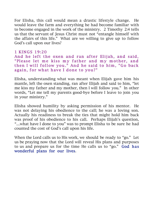For Elisha, this call would mean a drastic lifestyle change. He would leave the farm and everything he had become familiar with to become engaged in the work of the ministry. 2 Timothy 2:4 tells us that the servant of Jesus Christ must not "entangle himself with the affairs of this life." What are we willing to give up to follow God's call upon our lives?

#### 1 KINGS 19:20

And he left the oxen and ran after Elijah, and said, "Please let me kiss my father and my mother, and then I will follow you." And he said to him, "Go back again, for what have I done to you?"

Elisha, understanding what was meant when Elijah gave him his mantle, left the oxen standing, ran after Elijah and said to him, "let me kiss my father and my mother, then I will follow you." In other words, "Let me tell my parents good-bye before I leave to join you in your ministry."

Elisha showed humility by asking permission of his mentor. He was not delaying his obedience to the call; he was a loving son. Actually his readiness to break the ties that might hold him back was proof of his obedience to his call. Perhaps Elijah's question, "…what have I done to you" was to prompt Elisha to be sure he had counted the cost of God's call upon his life.

When the Lord calls us to His work, we should be ready to "go." Let us be praying now that the Lord will reveal His plans and purposes to us and prepare us for the time He calls us to "go." God has wonderful plans for our lives.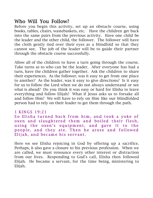# Who Will You Follow?

Before you begin this activity, set up an obstacle course, using books, tables, chairs, wastebaskets, etc. Have the children get back into the same pairs from the previous activity. Have one child be the leader and the other child, the follower. The follower will have the cloth gently tied over their eyes as a blindfold so that they cannot see. The job of the leader will be to guide their partner through the obstacle course successfully.

Allow all of the children to have a turn going through the course. Take turns as to who can be the leader. After everyone has had a turn, have the children gather together. Ask the children to share their experiences. As the follower, was it easy to get from one place to another? As the leader, was it easy to give directions? Is it easy for us to follow the Lord when we do not always understand or see what is ahead? Do you think it was easy or hard for Elisha to leave everything and follow Elijah? What if Jesus asks us to forsake all and follow Him? We will have to rely on Him like our blindfolded person had to rely on their leader to get them through the path.

#### 1 KINGS 19:21

So Elisha turned back from him, and took a yoke of oxen and slaughtered them and boiled their flesh, using the oxen's equipment, and gave it to the people, and they ate. Then he arose and followed Elijah, and became his servant.

Here we see Elisha rejoicing in God by offering up a sacrifice. Perhaps, it also gave a closure to his previous profession. When we are called, we must renounce every other interest or distraction from our lives. Responding to God's call, Elisha then followed Elijah. He became a servant, for the time being, ministering to Elijah.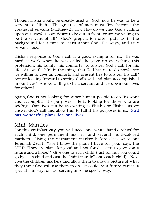Though Elisha would be greatly used by God, now he was to be a servant to Elijah. The greatest of men must first become the greatest of servants (Matthew 23:11). How do we view God's calling upon our lives? Do we desire to be out in front, or are we willing to be the servant of all? God's preparation often puts us in the background for a time to learn about God, His ways, and true servant hood.

Elisha's response to God's call is a good example for us. He was hard at work when he was called; he gave up everything (his profession, his family, his comforts) to answer God's call for his life. Are we faithful in the things that God has us to do now? Are we willing to give up comforts and present ties to answer His call? Are we looking forward to seeing God's will and plan accomplished in our lives? Are we willing to be a servant and lay down our lives for others?

Again, God is not looking for super-human people to do His work and accomplish His purposes. He is looking for those who are willing. Our lives can be as exciting as Elijah's or Elisha's as we answer God's call and allow Him to fulfill His purposes in us. God has wonderful plans for our lives..

# Mini Mantles

For this craft/activity you will need one white handkerchief for each child, one permanent marker, and several multi-colored markers. Using the permanent marker before class write out Jeremiah 29:11, "'For I know the plans I have for you,' says the LORD. 'They are plans for good and not for disaster, to give you a future and a hope.'" Give one to each child (just for fun you could go by each child and cast the "mini-mantle" onto each child). Next give the children markers and allow them to draw a picture of what they think God will use them to do. It could be a future career, a special ministry, or just serving in some special way.